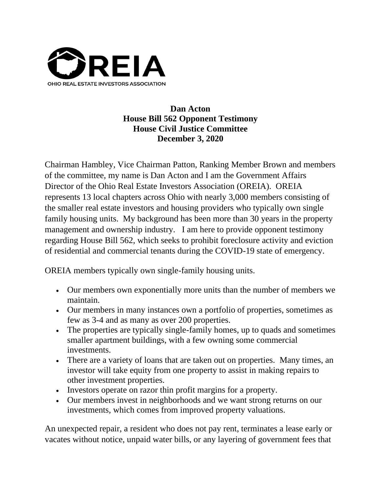

## **Dan Acton House Bill 562 Opponent Testimony House Civil Justice Committee December 3, 2020**

Chairman Hambley, Vice Chairman Patton, Ranking Member Brown and members of the committee, my name is Dan Acton and I am the Government Affairs Director of the Ohio Real Estate Investors Association (OREIA). OREIA represents 13 local chapters across Ohio with nearly 3,000 members consisting of the smaller real estate investors and housing providers who typically own single family housing units. My background has been more than 30 years in the property management and ownership industry. I am here to provide opponent testimony regarding House Bill 562, which seeks to prohibit foreclosure activity and eviction of residential and commercial tenants during the COVID-19 state of emergency.

OREIA members typically own single-family housing units.

- Our members own exponentially more units than the number of members we maintain.
- Our members in many instances own a portfolio of properties, sometimes as few as 3-4 and as many as over 200 properties.
- The properties are typically single-family homes, up to quads and sometimes smaller apartment buildings, with a few owning some commercial investments.
- There are a variety of loans that are taken out on properties. Many times, an investor will take equity from one property to assist in making repairs to other investment properties.
- Investors operate on razor thin profit margins for a property.
- Our members invest in neighborhoods and we want strong returns on our investments, which comes from improved property valuations.

An unexpected repair, a resident who does not pay rent, terminates a lease early or vacates without notice, unpaid water bills, or any layering of government fees that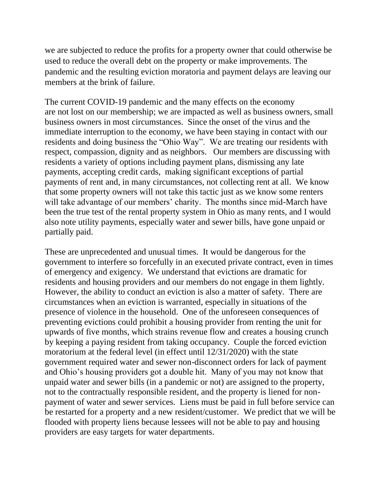we are subjected to reduce the profits for a property owner that could otherwise be used to reduce the overall debt on the property or make improvements. The pandemic and the resulting eviction moratoria and payment delays are leaving our members at the brink of failure.

The current COVID-19 pandemic and the many effects on the economy are not lost on our membership; we are impacted as well as business owners, small business owners in most circumstances. Since the onset of the virus and the immediate interruption to the economy, we have been staying in contact with our residents and doing business the "Ohio Way". We are treating our residents with respect, compassion, dignity and as neighbors. Our members are discussing with residents a variety of options including payment plans, dismissing any late payments, accepting credit cards, making significant exceptions of partial payments of rent and, in many circumstances, not collecting rent at all. We know that some property owners will not take this tactic just as we know some renters will take advantage of our members' charity. The months since mid-March have been the true test of the rental property system in Ohio as many rents, and I would also note utility payments, especially water and sewer bills, have gone unpaid or partially paid.

These are unprecedented and unusual times. It would be dangerous for the government to interfere so forcefully in an executed private contract, even in times of emergency and exigency. We understand that evictions are dramatic for residents and housing providers and our members do not engage in them lightly. However, the ability to conduct an eviction is also a matter of safety. There are circumstances when an eviction is warranted, especially in situations of the presence of violence in the household. One of the unforeseen consequences of preventing evictions could prohibit a housing provider from renting the unit for upwards of five months, which strains revenue flow and creates a housing crunch by keeping a paying resident from taking occupancy. Couple the forced eviction moratorium at the federal level (in effect until 12/31/2020) with the state government required water and sewer non-disconnect orders for lack of payment and Ohio's housing providers got a double hit. Many of you may not know that unpaid water and sewer bills (in a pandemic or not) are assigned to the property, not to the contractually responsible resident, and the property is liened for nonpayment of water and sewer services. Liens must be paid in full before service can be restarted for a property and a new resident/customer. We predict that we will be flooded with property liens because lessees will not be able to pay and housing providers are easy targets for water departments.